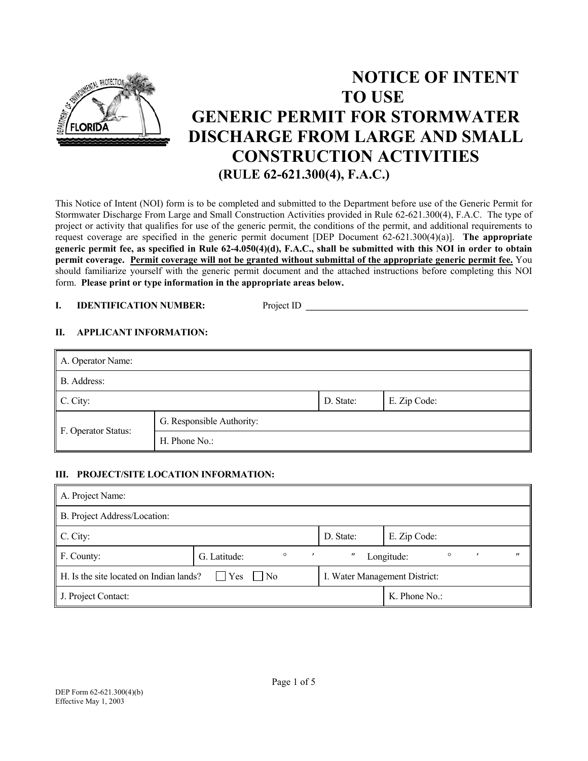

# **NOTICE OF INTENT TO USE GENERIC PERMIT FOR STORMWATER DISCHARGE FROM LARGE AND SMALL CONSTRUCTION ACTIVITIES (RULE 62-621.300(4), F.A.C.)**

This Notice of Intent (NOI) form is to be completed and submitted to the Department before use of the Generic Permit for Stormwater Discharge From Large and Small Construction Activities provided in Rule 62-621.300(4), F.A.C. The type of project or activity that qualifies for use of the generic permit, the conditions of the permit, and additional requirements to request coverage are specified in the generic permit document [DEP Document 62-621.300(4)(a)]. **The appropriate generic permit fee, as specified in Rule 62-4.050(4)(d), F.A.C., shall be submitted with this NOI in order to obtain permit coverage. Permit coverage will not be granted without submittal of the appropriate generic permit fee.** You should familiarize yourself with the generic permit document and the attached instructions before completing this NOI form. **Please print or type information in the appropriate areas below.** 

# **I. IDENTIFICATION NUMBER:** Project ID **\_\_\_\_\_\_\_\_\_\_\_\_\_\_\_\_\_\_\_\_\_\_\_\_\_\_\_\_\_\_\_\_\_\_\_\_\_\_\_\_\_\_\_\_\_\_\_**

## **II. APPLICANT INFORMATION:**

| A. Operator Name:   |                           |           |              |  |  |  |
|---------------------|---------------------------|-----------|--------------|--|--|--|
| B. Address:         |                           |           |              |  |  |  |
| $\mathbb C$ . City: |                           | D. State: | E. Zip Code: |  |  |  |
| F. Operator Status: | G. Responsible Authority: |           |              |  |  |  |
|                     | H. Phone No.:             |           |              |  |  |  |

#### **III. PROJECT/SITE LOCATION INFORMATION:**

| A. Project Name:                        |                               |                            |                 |  |
|-----------------------------------------|-------------------------------|----------------------------|-----------------|--|
| B. Project Address/Location:            |                               |                            |                 |  |
| C. City:                                |                               | D. State:                  | E. Zip Code:    |  |
| F. County:                              | $\circ$<br>G. Latitude:       | $\circ$<br>"<br>Longitude: |                 |  |
| H. Is the site located on Indian lands? | I. Water Management District: |                            |                 |  |
| J. Project Contact:                     |                               |                            | $K.$ Phone No.: |  |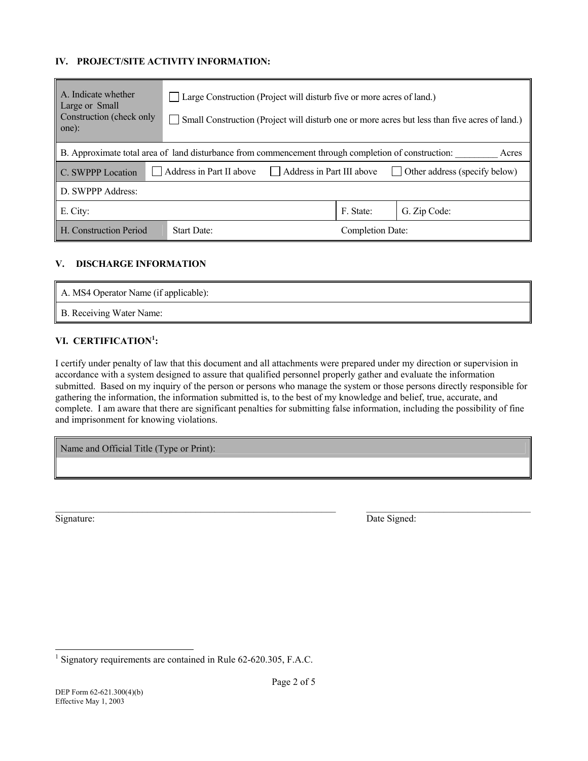## **IV. PROJECT/SITE ACTIVITY INFORMATION:**

| A. Indicate whether<br>Large or Small<br>Construction (check only<br>one):                                   | $\Box$ Large Construction (Project will disturb five or more acres of land.)<br>Small Construction (Project will disturb one or more acres but less than five acres of land.) |                  |              |  |  |  |  |
|--------------------------------------------------------------------------------------------------------------|-------------------------------------------------------------------------------------------------------------------------------------------------------------------------------|------------------|--------------|--|--|--|--|
| B. Approximate total area of land disturbance from commencement through completion of construction:<br>Acres |                                                                                                                                                                               |                  |              |  |  |  |  |
| C. SWPPP Location                                                                                            | Address in Part II above<br>Address in Part III above<br>Other address (specify below)                                                                                        |                  |              |  |  |  |  |
| D. SWPPP Address:                                                                                            |                                                                                                                                                                               |                  |              |  |  |  |  |
| E. City:                                                                                                     |                                                                                                                                                                               | F. State:        | G. Zip Code: |  |  |  |  |
| H. Construction Period                                                                                       | <b>Start Date:</b>                                                                                                                                                            | Completion Date: |              |  |  |  |  |

### **V. DISCHARGE INFORMATION**

| A. MS4 Operator Name (if applicable): |  |
|---------------------------------------|--|
| B. Receiving Water Name:              |  |

# **VI. CERTIFICATION[1](#page-1-0) :**

I certify under penalty of law that this document and all attachments were prepared under my direction or supervision in accordance with a system designed to assure that qualified personnel properly gather and evaluate the information submitted. Based on my inquiry of the person or persons who manage the system or those persons directly responsible for gathering the information, the information submitted is, to the best of my knowledge and belief, true, accurate, and complete. I am aware that there are significant penalties for submitting false information, including the possibility of fine and imprisonment for knowing violations.

Name and Official Title (Type or Print):

l

Signature: Date Signed:

<span id="page-1-0"></span><sup>&</sup>lt;sup>1</sup> Signatory requirements are contained in Rule 62-620.305, F.A.C.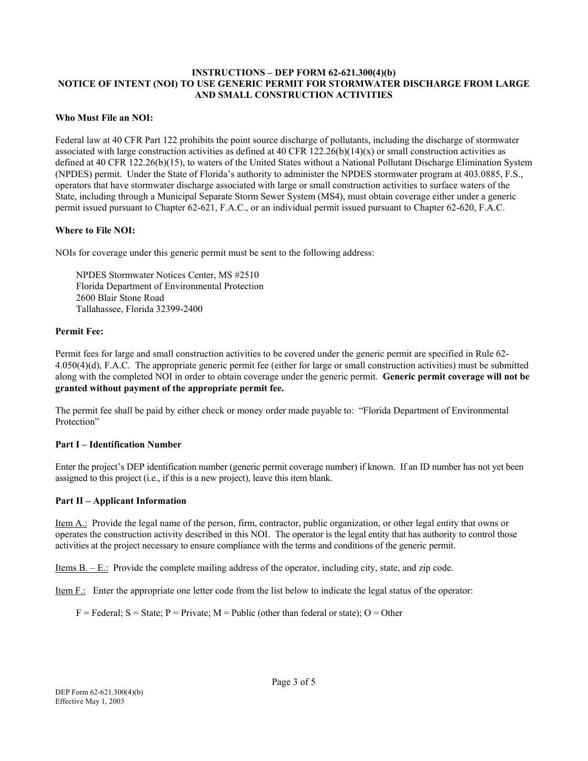## **INSTRUCTIONS – DEP FORM 62-621.300(4)(b) NOTICE OF INTENT (NOI) TO USE GENERIC PERMIT FOR STORMWATER DISCHARGE FROM LARGE AND SMALL CONSTRUCTION ACTIVITIES**

### **Who Must File an NOI:**

Federal law at 40 CFR Part 122 prohibits the point source discharge of pollutants, including the discharge of stormwater associated with large construction activities as defined at 40 CFR  $122.26(b)(14)(x)$  or small construction activities as defined at 40 CFR 122.26(b)(15), to waters of the United States without a National Pollutant Discharge Elimination System (NPDES) permit. Under the State of Florida's authority to administer the NPDES stormwater program at 403.0885, F.S., operators that have stormwater discharge associated with large or small construction activities to surface waters of the State, including through a Municipal Separate Storm Sewer System (MS4), must obtain coverage either under a generic permit issued pursuant to Chapter 62-621, F.A.C., or an individual permit issued pursuant to Chapter 62-620, F.A.C.

## **Where to File NOI:**

NOIs for coverage under this generic permit must be sent to the following address:

NPDES Stormwater Notices Center, MS #2510 Florida Department of Environmental Protection 2600 Blair Stone Road Tallahassee, Florida 32399-2400

## **Permit Fee:**

Permit fees for large and small construction activities to be covered under the generic permit are specified in Rule 62- 4.050(4)(d), F.A.C. The appropriate generic permit fee (either for large or small construction activities) must be submitted along with the completed NOI in order to obtain coverage under the generic permit. **Generic permit coverage will not be granted without payment of the appropriate permit fee.** 

The permit fee shall be paid by either check or money order made payable to: "Florida Department of Environmental Protection"

#### **Part I – Identification Number**

Enter the project's DEP identification number (generic permit coverage number) if known. If an ID number has not yet been assigned to this project (i.e., if this is a new project), leave this item blank.

#### **Part II – Applicant Information**

Item A.: Provide the legal name of the person, firm, contractor, public organization, or other legal entity that owns or operates the construction activity described in this NOI. The operator is the legal entity that has authority to control those activities at the project necessary to ensure compliance with the terms and conditions of the generic permit.

Items B. – E.: Provide the complete mailing address of the operator, including city, state, and zip code.

Item F.: Enter the appropriate one letter code from the list below to indicate the legal status of the operator:

 $F = Federal$ ;  $S = State$ ;  $P = Private$ ;  $M = Public$  (other than federal or state); O = Other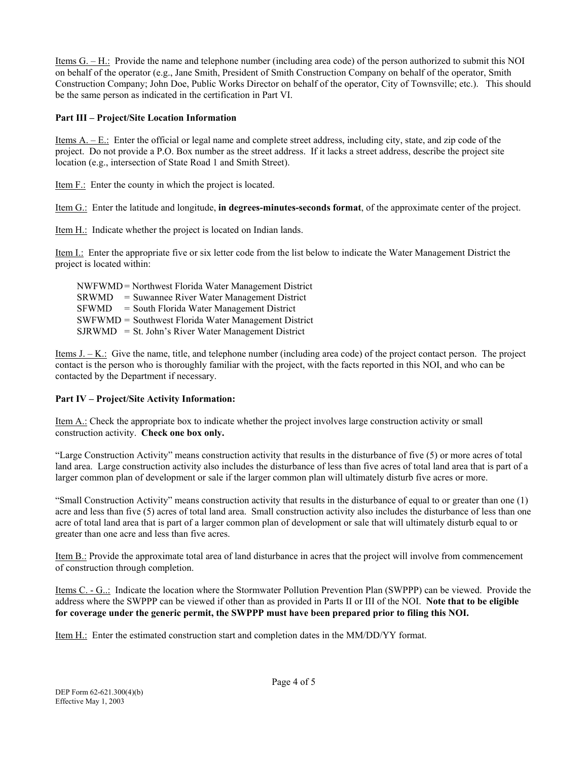Items G. – H.: Provide the name and telephone number (including area code) of the person authorized to submit this NOI on behalf of the operator (e.g., Jane Smith, President of Smith Construction Company on behalf of the operator, Smith Construction Company; John Doe, Public Works Director on behalf of the operator, City of Townsville; etc.). This should be the same person as indicated in the certification in Part VI.

# **Part III – Project/Site Location Information**

Items A. – E.: Enter the official or legal name and complete street address, including city, state, and zip code of the project. Do not provide a P.O. Box number as the street address. If it lacks a street address, describe the project site location (e.g., intersection of State Road 1 and Smith Street).

Item F.: Enter the county in which the project is located.

Item G.: Enter the latitude and longitude, **in degrees-minutes-seconds format**, of the approximate center of the project.

Item H.: Indicate whether the project is located on Indian lands.

Item I.: Enter the appropriate five or six letter code from the list below to indicate the Water Management District the project is located within:

NWFWMD = Northwest Florida Water Management District SRWMD = Suwannee River Water Management District SFWMD = South Florida Water Management District SWFWMD = Southwest Florida Water Management District  $SIRWMD = St. John's River Water Management District$ 

Items  $J. - K.$ : Give the name, title, and telephone number (including area code) of the project contact person. The project contact is the person who is thoroughly familiar with the project, with the facts reported in this NOI, and who can be contacted by the Department if necessary.

# **Part IV – Project/Site Activity Information:**

Item A.: Check the appropriate box to indicate whether the project involves large construction activity or small construction activity. **Check one box only.**

"Large Construction Activity" means construction activity that results in the disturbance of five (5) or more acres of total land area. Large construction activity also includes the disturbance of less than five acres of total land area that is part of a larger common plan of development or sale if the larger common plan will ultimately disturb five acres or more.

"Small Construction Activity" means construction activity that results in the disturbance of equal to or greater than one (1) acre and less than five (5) acres of total land area. Small construction activity also includes the disturbance of less than one acre of total land area that is part of a larger common plan of development or sale that will ultimately disturb equal to or greater than one acre and less than five acres.

Item B.: Provide the approximate total area of land disturbance in acres that the project will involve from commencement of construction through completion.

Items C. - G..: Indicate the location where the Stormwater Pollution Prevention Plan (SWPPP) can be viewed. Provide the address where the SWPPP can be viewed if other than as provided in Parts II or III of the NOI. **Note that to be eligible for coverage under the generic permit, the SWPPP must have been prepared prior to filing this NOI.**

Item H.: Enter the estimated construction start and completion dates in the MM/DD/YY format.